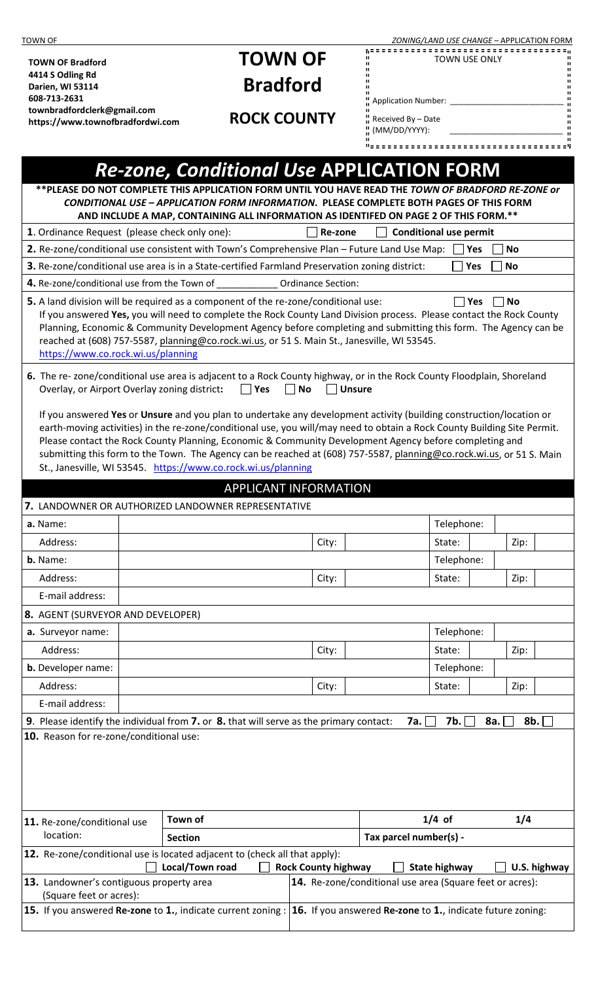| <b>TOWN OF</b>                                                                                                                                                                                                                                  |                                                                                      |                                                                                                                                                                                       |  | ZONING/LAND USE CHANGE - APPLICATION FORM                                        |            |     |      |              |  |  |  |
|-------------------------------------------------------------------------------------------------------------------------------------------------------------------------------------------------------------------------------------------------|--------------------------------------------------------------------------------------|---------------------------------------------------------------------------------------------------------------------------------------------------------------------------------------|--|----------------------------------------------------------------------------------|------------|-----|------|--------------|--|--|--|
| <b>TOWN OF Bradford</b>                                                                                                                                                                                                                         |                                                                                      | <b>TOWN OF</b>                                                                                                                                                                        |  | TOWN USE ONLY                                                                    |            |     |      |              |  |  |  |
| 4414 S Odling Rd                                                                                                                                                                                                                                |                                                                                      |                                                                                                                                                                                       |  |                                                                                  |            |     |      |              |  |  |  |
| Darien, WI 53114<br>608-713-2631                                                                                                                                                                                                                |                                                                                      | <b>Bradford</b>                                                                                                                                                                       |  | Application Number: ____                                                         |            |     |      |              |  |  |  |
| townbradfordclerk@gmail.com                                                                                                                                                                                                                     |                                                                                      | <b>ROCK COUNTY</b>                                                                                                                                                                    |  | $\frac{11}{11}$ Received By - Date                                               |            |     |      |              |  |  |  |
| https://www.townofbradfordwi.com                                                                                                                                                                                                                |                                                                                      |                                                                                                                                                                                       |  | (MM/DD/YYYY):                                                                    |            |     |      |              |  |  |  |
|                                                                                                                                                                                                                                                 |                                                                                      |                                                                                                                                                                                       |  |                                                                                  |            |     |      |              |  |  |  |
|                                                                                                                                                                                                                                                 |                                                                                      | <b>Re-zone, Conditional Use APPLICATION FORM</b>                                                                                                                                      |  |                                                                                  |            |     |      |              |  |  |  |
|                                                                                                                                                                                                                                                 |                                                                                      | ** PLEASE DO NOT COMPLETE THIS APPLICATION FORM UNTIL YOU HAVE READ THE TOWN OF BRADFORD RE-ZONE or                                                                                   |  |                                                                                  |            |     |      |              |  |  |  |
|                                                                                                                                                                                                                                                 |                                                                                      | CONDITIONAL USE - APPLICATION FORM INFORMATION. PLEASE COMPLETE BOTH PAGES OF THIS FORM                                                                                               |  |                                                                                  |            |     |      |              |  |  |  |
|                                                                                                                                                                                                                                                 | AND INCLUDE A MAP, CONTAINING ALL INFORMATION AS IDENTIFED ON PAGE 2 OF THIS FORM.** |                                                                                                                                                                                       |  |                                                                                  |            |     |      |              |  |  |  |
| 1. Ordinance Request (please check only one):<br><b>Conditional use permit</b><br>Re-zone<br>2. Re-zone/conditional use consistent with Town's Comprehensive Plan - Future Land Use Map:<br><b>No</b><br>Yes                                    |                                                                                      |                                                                                                                                                                                       |  |                                                                                  |            |     |      |              |  |  |  |
| 3. Re-zone/conditional use area is in a State-certified Farmland Preservation zoning district:<br>Yes<br><b>No</b>                                                                                                                              |                                                                                      |                                                                                                                                                                                       |  |                                                                                  |            |     |      |              |  |  |  |
| 4. Re-zone/conditional use from the Town of ___________________Ordinance Section:                                                                                                                                                               |                                                                                      |                                                                                                                                                                                       |  |                                                                                  |            |     |      |              |  |  |  |
| 5. A land division will be required as a component of the re-zone/conditional use:<br>Yes<br>$\Box$ No<br>$\mathsf{L}$                                                                                                                          |                                                                                      |                                                                                                                                                                                       |  |                                                                                  |            |     |      |              |  |  |  |
| If you answered Yes, you will need to complete the Rock County Land Division process. Please contact the Rock County                                                                                                                            |                                                                                      |                                                                                                                                                                                       |  |                                                                                  |            |     |      |              |  |  |  |
| Planning, Economic & Community Development Agency before completing and submitting this form. The Agency can be                                                                                                                                 |                                                                                      |                                                                                                                                                                                       |  |                                                                                  |            |     |      |              |  |  |  |
| reached at (608) 757-5587, planning@co.rock.wi.us, or 51 S. Main St., Janesville, WI 53545.<br>https://www.co.rock.wi.us/planning                                                                                                               |                                                                                      |                                                                                                                                                                                       |  |                                                                                  |            |     |      |              |  |  |  |
|                                                                                                                                                                                                                                                 |                                                                                      |                                                                                                                                                                                       |  |                                                                                  |            |     |      |              |  |  |  |
| 6. The re-zone/conditional use area is adjacent to a Rock County highway, or in the Rock County Floodplain, Shoreland<br>Overlay, or Airport Overlay zoning district:<br>$\Box$ Yes<br>$\Box$ No<br>  Unsure                                    |                                                                                      |                                                                                                                                                                                       |  |                                                                                  |            |     |      |              |  |  |  |
|                                                                                                                                                                                                                                                 |                                                                                      |                                                                                                                                                                                       |  |                                                                                  |            |     |      |              |  |  |  |
| If you answered Yes or Unsure and you plan to undertake any development activity (building construction/location or<br>earth-moving activities) in the re-zone/conditional use, you will/may need to obtain a Rock County Building Site Permit. |                                                                                      |                                                                                                                                                                                       |  |                                                                                  |            |     |      |              |  |  |  |
|                                                                                                                                                                                                                                                 |                                                                                      | Please contact the Rock County Planning, Economic & Community Development Agency before completing and                                                                                |  |                                                                                  |            |     |      |              |  |  |  |
|                                                                                                                                                                                                                                                 |                                                                                      | submitting this form to the Town. The Agency can be reached at (608) 757-5587, planning@co.rock.wi.us, or 51 S. Main<br>St., Janesville, WI 53545. https://www.co.rock.wi.us/planning |  |                                                                                  |            |     |      |              |  |  |  |
|                                                                                                                                                                                                                                                 |                                                                                      |                                                                                                                                                                                       |  |                                                                                  |            |     |      |              |  |  |  |
|                                                                                                                                                                                                                                                 |                                                                                      | <b>APPLICANT INFORMATION</b>                                                                                                                                                          |  |                                                                                  |            |     |      |              |  |  |  |
|                                                                                                                                                                                                                                                 |                                                                                      | 7. LANDOWNER OR AUTHORIZED LANDOWNER REPRESENTATIVE                                                                                                                                   |  |                                                                                  |            |     |      |              |  |  |  |
| a. Name:                                                                                                                                                                                                                                        |                                                                                      |                                                                                                                                                                                       |  |                                                                                  | Telephone: |     |      |              |  |  |  |
| Address:<br>b. Name:                                                                                                                                                                                                                            |                                                                                      | City:                                                                                                                                                                                 |  |                                                                                  | State:     |     | Zip: |              |  |  |  |
|                                                                                                                                                                                                                                                 |                                                                                      |                                                                                                                                                                                       |  |                                                                                  | Telephone: |     |      |              |  |  |  |
| Address:<br>E-mail address:                                                                                                                                                                                                                     |                                                                                      | City:                                                                                                                                                                                 |  |                                                                                  | State:     |     | Zip: |              |  |  |  |
|                                                                                                                                                                                                                                                 |                                                                                      |                                                                                                                                                                                       |  |                                                                                  |            |     |      |              |  |  |  |
| 8. AGENT (SURVEYOR AND DEVELOPER)<br>a. Surveyor name:                                                                                                                                                                                          |                                                                                      |                                                                                                                                                                                       |  |                                                                                  | Telephone: |     |      |              |  |  |  |
| Address:                                                                                                                                                                                                                                        |                                                                                      |                                                                                                                                                                                       |  |                                                                                  | State:     |     | Zip: |              |  |  |  |
| b. Developer name:                                                                                                                                                                                                                              |                                                                                      | City:                                                                                                                                                                                 |  |                                                                                  | Telephone: |     |      |              |  |  |  |
| Address:                                                                                                                                                                                                                                        |                                                                                      |                                                                                                                                                                                       |  |                                                                                  | State:     |     | Zip: |              |  |  |  |
| E-mail address:                                                                                                                                                                                                                                 |                                                                                      | City:                                                                                                                                                                                 |  |                                                                                  |            |     |      |              |  |  |  |
|                                                                                                                                                                                                                                                 |                                                                                      | 9. Please identify the individual from 7. or 8. that will serve as the primary contact:                                                                                               |  | 7a.                                                                              | 7b.        | 8a. |      | 8b. $\Box$   |  |  |  |
| 10. Reason for re-zone/conditional use:                                                                                                                                                                                                         |                                                                                      |                                                                                                                                                                                       |  |                                                                                  |            |     |      |              |  |  |  |
|                                                                                                                                                                                                                                                 |                                                                                      |                                                                                                                                                                                       |  |                                                                                  |            |     |      |              |  |  |  |
|                                                                                                                                                                                                                                                 |                                                                                      |                                                                                                                                                                                       |  |                                                                                  |            |     |      |              |  |  |  |
|                                                                                                                                                                                                                                                 |                                                                                      |                                                                                                                                                                                       |  |                                                                                  |            |     |      |              |  |  |  |
|                                                                                                                                                                                                                                                 |                                                                                      |                                                                                                                                                                                       |  |                                                                                  |            |     |      |              |  |  |  |
| 11. Re-zone/conditional use                                                                                                                                                                                                                     | Town of                                                                              |                                                                                                                                                                                       |  | $1/4$ of                                                                         |            |     | 1/4  |              |  |  |  |
| location:<br>Tax parcel number(s) -<br><b>Section</b>                                                                                                                                                                                           |                                                                                      |                                                                                                                                                                                       |  |                                                                                  |            |     |      |              |  |  |  |
|                                                                                                                                                                                                                                                 |                                                                                      | <b>12.</b> Re-zone/conditional use is located adjacent to (check all that apply):                                                                                                     |  |                                                                                  |            |     |      |              |  |  |  |
| 13. Landowner's contiguous property area                                                                                                                                                                                                        | Local/Town road                                                                      | <b>Rock County highway</b>                                                                                                                                                            |  | <b>State highway</b><br>14. Re-zone/conditional use area (Square feet or acres): |            |     |      | U.S. highway |  |  |  |
| (Square feet or acres):                                                                                                                                                                                                                         |                                                                                      |                                                                                                                                                                                       |  |                                                                                  |            |     |      |              |  |  |  |
|                                                                                                                                                                                                                                                 |                                                                                      | 15. If you answered Re-zone to 1., indicate current zoning : 16. If you answered Re-zone to 1., indicate future zoning:                                                               |  |                                                                                  |            |     |      |              |  |  |  |
|                                                                                                                                                                                                                                                 |                                                                                      |                                                                                                                                                                                       |  |                                                                                  |            |     |      |              |  |  |  |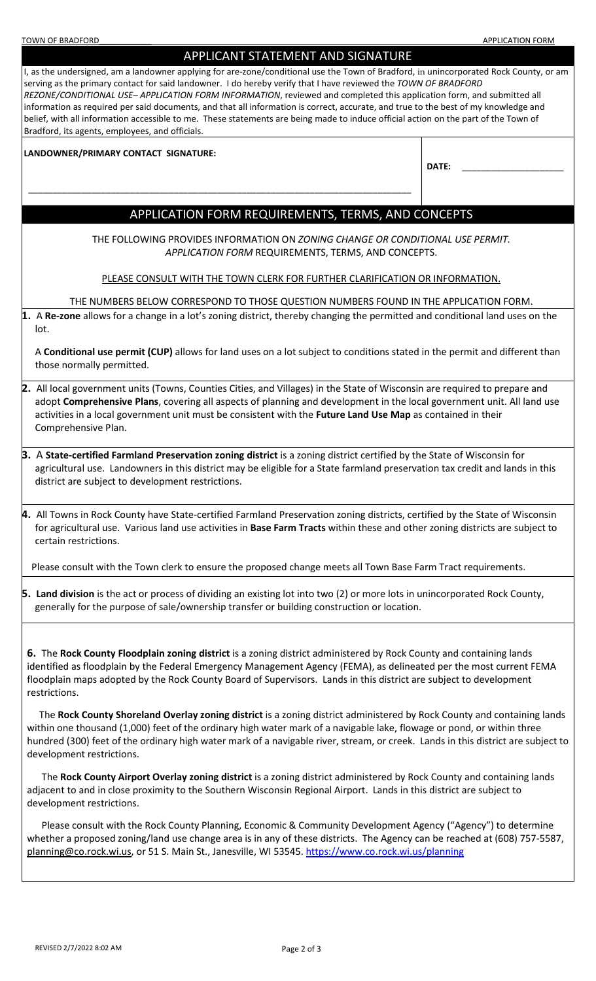| APPLICANT STATEMENT AND SIGNATURE                                                                                                                                                                                                                                                                                                                                                                                                                                                                                                                                                                                                                                                                                  |  |  |  |  |  |  |  |  |
|--------------------------------------------------------------------------------------------------------------------------------------------------------------------------------------------------------------------------------------------------------------------------------------------------------------------------------------------------------------------------------------------------------------------------------------------------------------------------------------------------------------------------------------------------------------------------------------------------------------------------------------------------------------------------------------------------------------------|--|--|--|--|--|--|--|--|
| I, as the undersigned, am a landowner applying for are-zone/conditional use the Town of Bradford, in unincorporated Rock County, or am<br>serving as the primary contact for said landowner. I do hereby verify that I have reviewed the TOWN OF BRADFORD<br>REZONE/CONDITIONAL USE-APPLICATION FORM INFORMATION, reviewed and completed this application form, and submitted all<br>information as required per said documents, and that all information is correct, accurate, and true to the best of my knowledge and<br>belief, with all information accessible to me. These statements are being made to induce official action on the part of the Town of<br>Bradford, its agents, employees, and officials. |  |  |  |  |  |  |  |  |
| LANDOWNER/PRIMARY CONTACT SIGNATURE:                                                                                                                                                                                                                                                                                                                                                                                                                                                                                                                                                                                                                                                                               |  |  |  |  |  |  |  |  |
| DATE:                                                                                                                                                                                                                                                                                                                                                                                                                                                                                                                                                                                                                                                                                                              |  |  |  |  |  |  |  |  |
|                                                                                                                                                                                                                                                                                                                                                                                                                                                                                                                                                                                                                                                                                                                    |  |  |  |  |  |  |  |  |
| APPLICATION FORM REQUIREMENTS, TERMS, AND CONCEPTS                                                                                                                                                                                                                                                                                                                                                                                                                                                                                                                                                                                                                                                                 |  |  |  |  |  |  |  |  |
| THE FOLLOWING PROVIDES INFORMATION ON ZONING CHANGE OR CONDITIONAL USE PERMIT.<br>APPLICATION FORM REQUIREMENTS, TERMS, AND CONCEPTS.                                                                                                                                                                                                                                                                                                                                                                                                                                                                                                                                                                              |  |  |  |  |  |  |  |  |
| PLEASE CONSULT WITH THE TOWN CLERK FOR FURTHER CLARIFICATION OR INFORMATION.                                                                                                                                                                                                                                                                                                                                                                                                                                                                                                                                                                                                                                       |  |  |  |  |  |  |  |  |
| THE NUMBERS BELOW CORRESPOND TO THOSE QUESTION NUMBERS FOUND IN THE APPLICATION FORM.                                                                                                                                                                                                                                                                                                                                                                                                                                                                                                                                                                                                                              |  |  |  |  |  |  |  |  |
| 1. A Re-zone allows for a change in a lot's zoning district, thereby changing the permitted and conditional land uses on the<br>lot.                                                                                                                                                                                                                                                                                                                                                                                                                                                                                                                                                                               |  |  |  |  |  |  |  |  |
| A Conditional use permit (CUP) allows for land uses on a lot subject to conditions stated in the permit and different than<br>those normally permitted.                                                                                                                                                                                                                                                                                                                                                                                                                                                                                                                                                            |  |  |  |  |  |  |  |  |
| 2. All local government units (Towns, Counties Cities, and Villages) in the State of Wisconsin are required to prepare and<br>adopt Comprehensive Plans, covering all aspects of planning and development in the local government unit. All land use<br>activities in a local government unit must be consistent with the Future Land Use Map as contained in their<br>Comprehensive Plan.                                                                                                                                                                                                                                                                                                                         |  |  |  |  |  |  |  |  |
| 3. A State-certified Farmland Preservation zoning district is a zoning district certified by the State of Wisconsin for<br>agricultural use. Landowners in this district may be eligible for a State farmland preservation tax credit and lands in this<br>district are subject to development restrictions.                                                                                                                                                                                                                                                                                                                                                                                                       |  |  |  |  |  |  |  |  |
| 4. All Towns in Rock County have State-certified Farmland Preservation zoning districts, certified by the State of Wisconsin<br>for agricultural use. Various land use activities in Base Farm Tracts within these and other zoning districts are subject to<br>certain restrictions.                                                                                                                                                                                                                                                                                                                                                                                                                              |  |  |  |  |  |  |  |  |
| Please consult with the Town clerk to ensure the proposed change meets all Town Base Farm Tract requirements.                                                                                                                                                                                                                                                                                                                                                                                                                                                                                                                                                                                                      |  |  |  |  |  |  |  |  |
| 5. Land division is the act or process of dividing an existing lot into two (2) or more lots in unincorporated Rock County,<br>generally for the purpose of sale/ownership transfer or building construction or location.                                                                                                                                                                                                                                                                                                                                                                                                                                                                                          |  |  |  |  |  |  |  |  |
| 6. The Rock County Floodplain zoning district is a zoning district administered by Rock County and containing lands<br>identified as floodplain by the Federal Emergency Management Agency (FEMA), as delineated per the most current FEMA<br>floodplain maps adopted by the Rock County Board of Supervisors. Lands in this district are subject to development<br>restrictions.                                                                                                                                                                                                                                                                                                                                  |  |  |  |  |  |  |  |  |
| The Rock County Shoreland Overlay zoning district is a zoning district administered by Rock County and containing lands<br>within one thousand (1,000) feet of the ordinary high water mark of a navigable lake, flowage or pond, or within three<br>hundred (300) feet of the ordinary high water mark of a navigable river, stream, or creek. Lands in this district are subject to<br>development restrictions.                                                                                                                                                                                                                                                                                                 |  |  |  |  |  |  |  |  |
| The Rock County Airport Overlay zoning district is a zoning district administered by Rock County and containing lands<br>adjacent to and in close proximity to the Southern Wisconsin Regional Airport. Lands in this district are subject to<br>development restrictions.                                                                                                                                                                                                                                                                                                                                                                                                                                         |  |  |  |  |  |  |  |  |
| Please consult with the Rock County Planning, Economic & Community Development Agency ("Agency") to determine<br>whether a proposed zoning/land use change area is in any of these districts. The Agency can be reached at (608) 757-5587,<br>planning@co.rock.wi.us, or 51 S. Main St., Janesville, WI 53545. https://www.co.rock.wi.us/planning                                                                                                                                                                                                                                                                                                                                                                  |  |  |  |  |  |  |  |  |